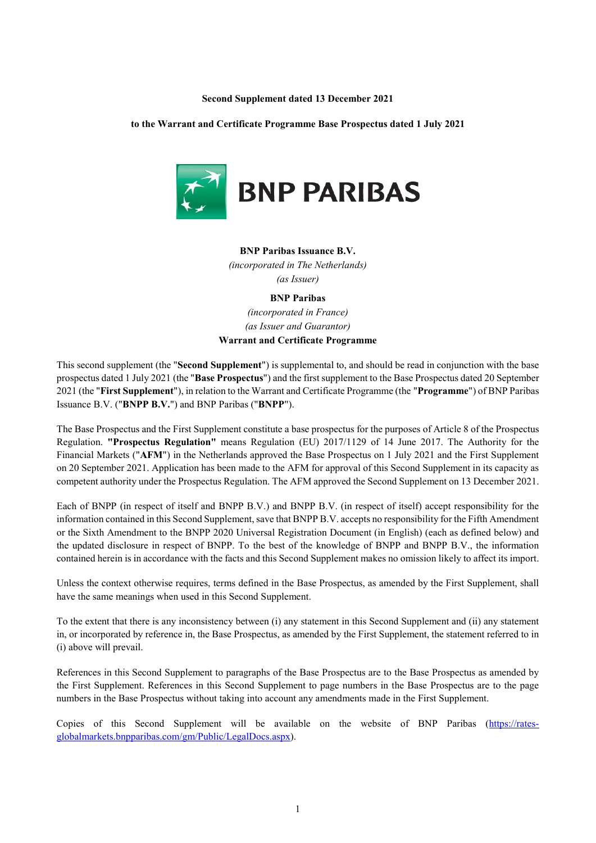#### **Second Supplement dated 13 December 2021**

**to the Warrant and Certificate Programme Base Prospectus dated 1 July 2021**



## **BNP Paribas Issuance B.V.**

*(incorporated in The Netherlands) (as Issuer)*

# **BNP Paribas** *(incorporated in France) (as Issuer and Guarantor)* **Warrant and Certificate Programme**

This second supplement (the "**Second Supplement**") is supplemental to, and should be read in conjunction with the base prospectus dated 1 July 2021 (the "**Base Prospectus**") and the first supplement to the Base Prospectus dated 20 September 2021 (the "**First Supplement**"), in relation to the Warrant and Certificate Programme (the "**Programme**") of BNP Paribas Issuance B.V. ("**BNPP B.V.**") and BNP Paribas ("**BNPP**").

The Base Prospectus and the First Supplement constitute a base prospectus for the purposes of Article 8 of the Prospectus Regulation. **"Prospectus Regulation"** means Regulation (EU) 2017/1129 of 14 June 2017. The Authority for the Financial Markets ("**AFM**") in the Netherlands approved the Base Prospectus on 1 July 2021 and the First Supplement on 20 September 2021. Application has been made to the AFM for approval of this Second Supplement in its capacity as competent authority under the Prospectus Regulation. The AFM approved the Second Supplement on 13 December 2021.

Each of BNPP (in respect of itself and BNPP B.V.) and BNPP B.V. (in respect of itself) accept responsibility for the information contained in this Second Supplement, save that BNPP B.V. accepts no responsibility for the Fifth Amendment or the Sixth Amendment to the BNPP 2020 Universal Registration Document (in English) (each as defined below) and the updated disclosure in respect of BNPP. To the best of the knowledge of BNPP and BNPP B.V., the information contained herein is in accordance with the facts and this Second Supplement makes no omission likely to affect its import.

Unless the context otherwise requires, terms defined in the Base Prospectus, as amended by the First Supplement, shall have the same meanings when used in this Second Supplement.

To the extent that there is any inconsistency between (i) any statement in this Second Supplement and (ii) any statement in, or incorporated by reference in, the Base Prospectus, as amended by the First Supplement, the statement referred to in (i) above will prevail.

References in this Second Supplement to paragraphs of the Base Prospectus are to the Base Prospectus as amended by the First Supplement. References in this Second Supplement to page numbers in the Base Prospectus are to the page numbers in the Base Prospectus without taking into account any amendments made in the First Supplement.

Copies of this Second Supplement will be available on the website of BNP Paribas [\(https://rates](https://rates-globalmarkets.bnpparibas.com/gm/Public/LegalDocs.aspx)[globalmarkets.bnpparibas.com/gm/Public/LegalDocs.aspx\)](https://rates-globalmarkets.bnpparibas.com/gm/Public/LegalDocs.aspx).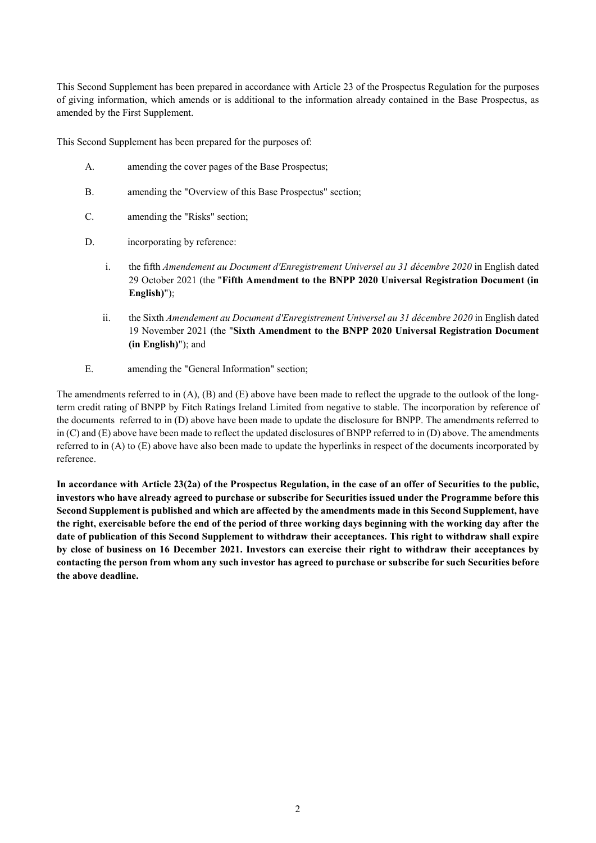This Second Supplement has been prepared in accordance with Article 23 of the Prospectus Regulation for the purposes of giving information, which amends or is additional to the information already contained in the Base Prospectus, as amended by the First Supplement.

This Second Supplement has been prepared for the purposes of:

- A. amending the cover pages of the Base Prospectus;
- B. amending the "Overview of this Base Prospectus" section;
- C. amending the "Risks" section;
- D. incorporating by reference:
	- i. the fifth *Amendement au Document d'Enregistrement Universel au 31 décembre 2020* in English dated 29 October 2021 (the "**Fifth Amendment to the BNPP 2020 Universal Registration Document (in English)**");
	- ii. the Sixth *Amendement au Document d'Enregistrement Universel au 31 décembre 2020* in English dated 19 November 2021 (the "**Sixth Amendment to the BNPP 2020 Universal Registration Document (in English)**"); and
- E. amending the "General Information" section;

The amendments referred to in  $(A)$ ,  $(B)$  and  $(E)$  above have been made to reflect the upgrade to the outlook of the longterm credit rating of BNPP by Fitch Ratings Ireland Limited from negative to stable. The incorporation by reference of the documents referred to in (D) above have been made to update the disclosure for BNPP. The amendments referred to in (C) and (E) above have been made to reflect the updated disclosures of BNPP referred to in (D) above. The amendments referred to in (A) to (E) above have also been made to update the hyperlinks in respect of the documents incorporated by reference.

**In accordance with Article 23(2a) of the Prospectus Regulation, in the case of an offer of Securities to the public, investors who have already agreed to purchase or subscribe for Securities issued under the Programme before this Second Supplement is published and which are affected by the amendments made in this Second Supplement, have the right, exercisable before the end of the period of three working days beginning with the working day after the date of publication of this Second Supplement to withdraw their acceptances. This right to withdraw shall expire by close of business on 16 December 2021. Investors can exercise their right to withdraw their acceptances by contacting the person from whom any such investor has agreed to purchase or subscribe for such Securities before the above deadline.**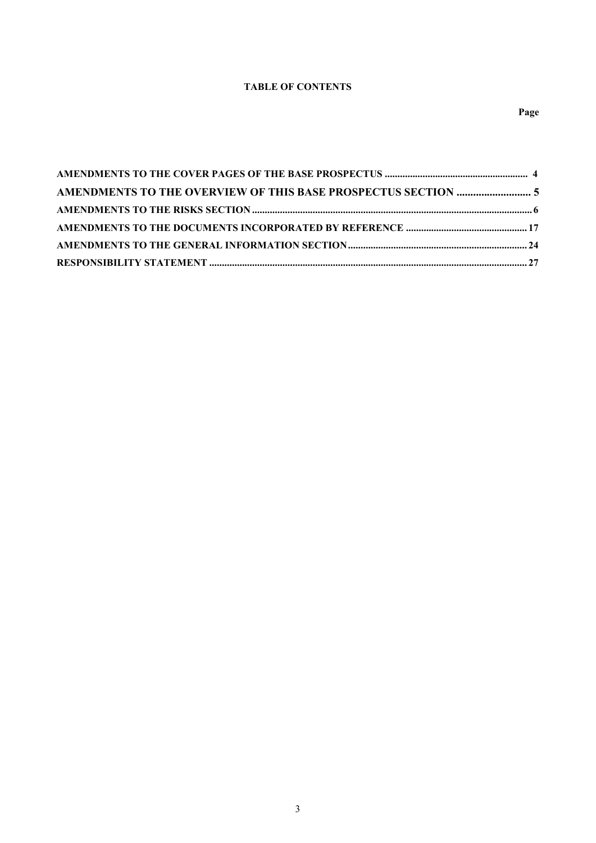# **TABLE OF CONTENTS**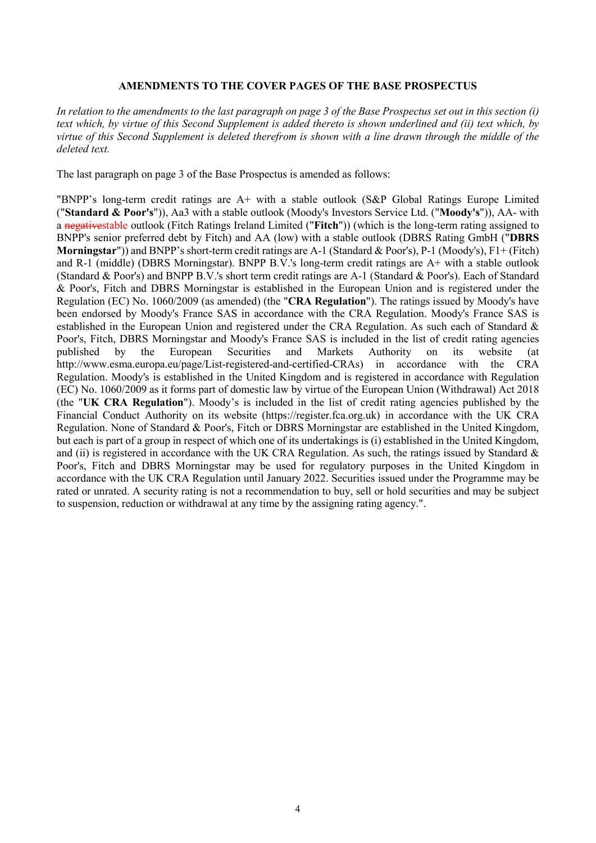## **AMENDMENTS TO THE COVER PAGES OF THE BASE PROSPECTUS**

*In relation to the amendments to the last paragraph on page 3 of the Base Prospectus set out in this section (i) text which, by virtue of this Second Supplement is added thereto is shown underlined and (ii) text which, by virtue of this Second Supplement is deleted therefrom is shown with a line drawn through the middle of the deleted text.* 

The last paragraph on page 3 of the Base Prospectus is amended as follows:

"BNPP's long-term credit ratings are A+ with a stable outlook (S&P Global Ratings Europe Limited ("**Standard & Poor's**")), Aa3 with a stable outlook (Moody's Investors Service Ltd. ("**Moody's**")), AA- with a negativestable outlook (Fitch Ratings Ireland Limited ("**Fitch**")) (which is the long-term rating assigned to BNPP's senior preferred debt by Fitch) and AA (low) with a stable outlook (DBRS Rating GmbH ("**DBRS Morningstar**")) and BNPP's short-term credit ratings are A-1 (Standard & Poor's), P-1 (Moody's), F1+ (Fitch) and R-1 (middle) (DBRS Morningstar). BNPP B.V.'s long-term credit ratings are A+ with a stable outlook (Standard & Poor's) and BNPP B.V.'s short term credit ratings are A-1 (Standard & Poor's). Each of Standard & Poor's, Fitch and DBRS Morningstar is established in the European Union and is registered under the Regulation (EC) No. 1060/2009 (as amended) (the "**CRA Regulation**"). The ratings issued by Moody's have been endorsed by Moody's France SAS in accordance with the CRA Regulation. Moody's France SAS is established in the European Union and registered under the CRA Regulation. As such each of Standard & Poor's, Fitch, DBRS Morningstar and Moody's France SAS is included in the list of credit rating agencies published by the European Securities and Markets Authority on its website (at http://www.esma.europa.eu/page/List-registered-and-certified-CRAs) in accordance with the CRA Regulation. Moody's is established in the United Kingdom and is registered in accordance with Regulation (EC) No. 1060/2009 as it forms part of domestic law by virtue of the European Union (Withdrawal) Act 2018 (the "**UK CRA Regulation**"). Moody's is included in the list of credit rating agencies published by the Financial Conduct Authority on its website (https://register.fca.org.uk) in accordance with the UK CRA Regulation. None of Standard & Poor's, Fitch or DBRS Morningstar are established in the United Kingdom, but each is part of a group in respect of which one of its undertakings is (i) established in the United Kingdom, and (ii) is registered in accordance with the UK CRA Regulation. As such, the ratings issued by Standard & Poor's, Fitch and DBRS Morningstar may be used for regulatory purposes in the United Kingdom in accordance with the UK CRA Regulation until January 2022. Securities issued under the Programme may be rated or unrated. A security rating is not a recommendation to buy, sell or hold securities and may be subject to suspension, reduction or withdrawal at any time by the assigning rating agency.".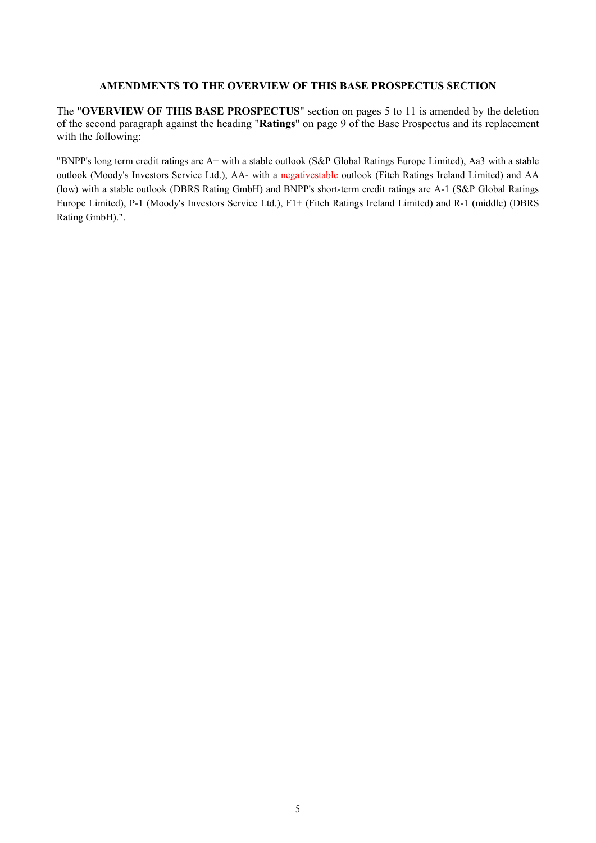# **AMENDMENTS TO THE OVERVIEW OF THIS BASE PROSPECTUS SECTION**

The "**OVERVIEW OF THIS BASE PROSPECTUS**" section on pages 5 to 11 is amended by the deletion of the second paragraph against the heading "**Ratings**" on page 9 of the Base Prospectus and its replacement with the following:

"BNPP's long term credit ratings are A+ with a stable outlook (S&P Global Ratings Europe Limited), Aa3 with a stable outlook (Moody's Investors Service Ltd.), AA- with a negativestable outlook (Fitch Ratings Ireland Limited) and AA (low) with a stable outlook (DBRS Rating GmbH) and BNPP's short-term credit ratings are A-1 (S&P Global Ratings Europe Limited), P-1 (Moody's Investors Service Ltd.), F1+ (Fitch Ratings Ireland Limited) and R-1 (middle) (DBRS Rating GmbH).".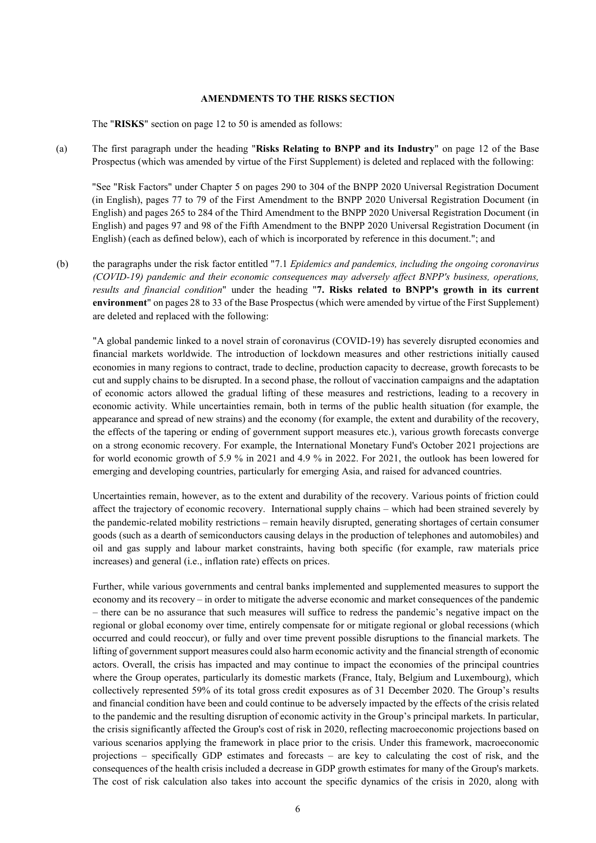#### **AMENDMENTS TO THE RISKS SECTION**

The "**RISKS**" section on page 12 to 50 is amended as follows:

(a) The first paragraph under the heading "**Risks Relating to BNPP and its Industry**" on page 12 of the Base Prospectus (which was amended by virtue of the First Supplement) is deleted and replaced with the following:

"See "Risk Factors" under Chapter 5 on pages 290 to 304 of the BNPP 2020 Universal Registration Document (in English), pages 77 to 79 of the First Amendment to the BNPP 2020 Universal Registration Document (in English) and pages 265 to 284 of the Third Amendment to the BNPP 2020 Universal Registration Document (in English) and pages 97 and 98 of the Fifth Amendment to the BNPP 2020 Universal Registration Document (in English) (each as defined below), each of which is incorporated by reference in this document."; and

(b) the paragraphs under the risk factor entitled "7.1 *Epidemics and pandemics, including the ongoing coronavirus (COVID-19) pandemic and their economic consequences may adversely affect BNPP's business, operations, results and financial condition*" under the heading "**7. Risks related to BNPP's growth in its current environment**" on pages 28 to 33 of the Base Prospectus (which were amended by virtue of the First Supplement) are deleted and replaced with the following:

"A global pandemic linked to a novel strain of coronavirus (COVID-19) has severely disrupted economies and financial markets worldwide. The introduction of lockdown measures and other restrictions initially caused economies in many regions to contract, trade to decline, production capacity to decrease, growth forecasts to be cut and supply chains to be disrupted. In a second phase, the rollout of vaccination campaigns and the adaptation of economic actors allowed the gradual lifting of these measures and restrictions, leading to a recovery in economic activity. While uncertainties remain, both in terms of the public health situation (for example, the appearance and spread of new strains) and the economy (for example, the extent and durability of the recovery, the effects of the tapering or ending of government support measures etc.), various growth forecasts converge on a strong economic recovery. For example, the International Monetary Fund's October 2021 projections are for world economic growth of 5.9 % in 2021 and 4.9 % in 2022. For 2021, the outlook has been lowered for emerging and developing countries, particularly for emerging Asia, and raised for advanced countries.

Uncertainties remain, however, as to the extent and durability of the recovery. Various points of friction could affect the trajectory of economic recovery. International supply chains – which had been strained severely by the pandemic-related mobility restrictions – remain heavily disrupted, generating shortages of certain consumer goods (such as a dearth of semiconductors causing delays in the production of telephones and automobiles) and oil and gas supply and labour market constraints, having both specific (for example, raw materials price increases) and general (i.e., inflation rate) effects on prices.

Further, while various governments and central banks implemented and supplemented measures to support the economy and its recovery – in order to mitigate the adverse economic and market consequences of the pandemic – there can be no assurance that such measures will suffice to redress the pandemic's negative impact on the regional or global economy over time, entirely compensate for or mitigate regional or global recessions (which occurred and could reoccur), or fully and over time prevent possible disruptions to the financial markets. The lifting of government support measures could also harm economic activity and the financial strength of economic actors. Overall, the crisis has impacted and may continue to impact the economies of the principal countries where the Group operates, particularly its domestic markets (France, Italy, Belgium and Luxembourg), which collectively represented 59% of its total gross credit exposures as of 31 December 2020. The Group's results and financial condition have been and could continue to be adversely impacted by the effects of the crisis related to the pandemic and the resulting disruption of economic activity in the Group's principal markets. In particular, the crisis significantly affected the Group's cost of risk in 2020, reflecting macroeconomic projections based on various scenarios applying the framework in place prior to the crisis. Under this framework, macroeconomic projections – specifically GDP estimates and forecasts – are key to calculating the cost of risk, and the consequences of the health crisis included a decrease in GDP growth estimates for many of the Group's markets. The cost of risk calculation also takes into account the specific dynamics of the crisis in 2020, along with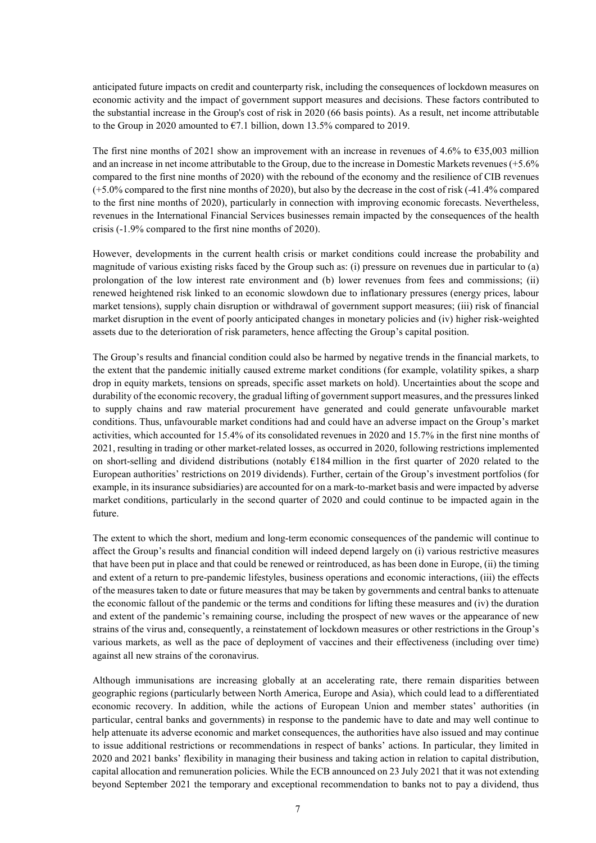anticipated future impacts on credit and counterparty risk, including the consequences of lockdown measures on economic activity and the impact of government support measures and decisions. These factors contributed to the substantial increase in the Group's cost of risk in 2020 (66 basis points). As a result, net income attributable to the Group in 2020 amounted to  $\epsilon$ 7.1 billion, down 13.5% compared to 2019.

The first nine months of 2021 show an improvement with an increase in revenues of 4.6% to  $\epsilon$ 35,003 million and an increase in net income attributable to the Group, due to the increase in Domestic Markets revenues (+5.6% compared to the first nine months of 2020) with the rebound of the economy and the resilience of CIB revenues (+5.0% compared to the first nine months of 2020), but also by the decrease in the cost of risk (-41.4% compared to the first nine months of 2020), particularly in connection with improving economic forecasts. Nevertheless, revenues in the International Financial Services businesses remain impacted by the consequences of the health crisis (-1.9% compared to the first nine months of 2020).

However, developments in the current health crisis or market conditions could increase the probability and magnitude of various existing risks faced by the Group such as: (i) pressure on revenues due in particular to (a) prolongation of the low interest rate environment and (b) lower revenues from fees and commissions; (ii) renewed heightened risk linked to an economic slowdown due to inflationary pressures (energy prices, labour market tensions), supply chain disruption or withdrawal of government support measures; (iii) risk of financial market disruption in the event of poorly anticipated changes in monetary policies and (iv) higher risk-weighted assets due to the deterioration of risk parameters, hence affecting the Group's capital position.

The Group's results and financial condition could also be harmed by negative trends in the financial markets, to the extent that the pandemic initially caused extreme market conditions (for example, volatility spikes, a sharp drop in equity markets, tensions on spreads, specific asset markets on hold). Uncertainties about the scope and durability of the economic recovery, the gradual lifting of government support measures, and the pressures linked to supply chains and raw material procurement have generated and could generate unfavourable market conditions. Thus, unfavourable market conditions had and could have an adverse impact on the Group's market activities, which accounted for 15.4% of its consolidated revenues in 2020 and 15.7% in the first nine months of 2021, resulting in trading or other market-related losses, as occurred in 2020, following restrictions implemented on short-selling and dividend distributions (notably €184 million in the first quarter of 2020 related to the European authorities' restrictions on 2019 dividends). Further, certain of the Group's investment portfolios (for example, in its insurance subsidiaries) are accounted for on a mark-to-market basis and were impacted by adverse market conditions, particularly in the second quarter of 2020 and could continue to be impacted again in the future.

The extent to which the short, medium and long-term economic consequences of the pandemic will continue to affect the Group's results and financial condition will indeed depend largely on (i) various restrictive measures that have been put in place and that could be renewed or reintroduced, as has been done in Europe, (ii) the timing and extent of a return to pre-pandemic lifestyles, business operations and economic interactions, (iii) the effects of the measures taken to date or future measures that may be taken by governments and central banks to attenuate the economic fallout of the pandemic or the terms and conditions for lifting these measures and (iv) the duration and extent of the pandemic's remaining course, including the prospect of new waves or the appearance of new strains of the virus and, consequently, a reinstatement of lockdown measures or other restrictions in the Group's various markets, as well as the pace of deployment of vaccines and their effectiveness (including over time) against all new strains of the coronavirus.

Although immunisations are increasing globally at an accelerating rate, there remain disparities between geographic regions (particularly between North America, Europe and Asia), which could lead to a differentiated economic recovery. In addition, while the actions of European Union and member states' authorities (in particular, central banks and governments) in response to the pandemic have to date and may well continue to help attenuate its adverse economic and market consequences, the authorities have also issued and may continue to issue additional restrictions or recommendations in respect of banks' actions. In particular, they limited in 2020 and 2021 banks' flexibility in managing their business and taking action in relation to capital distribution, capital allocation and remuneration policies. While the ECB announced on 23 July 2021 that it was not extending beyond September 2021 the temporary and exceptional recommendation to banks not to pay a dividend, thus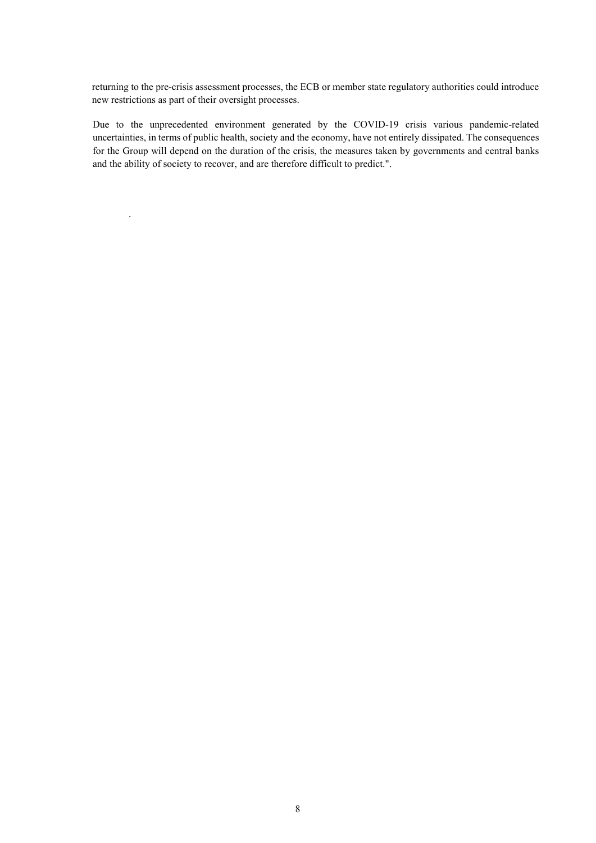returning to the pre-crisis assessment processes, the ECB or member state regulatory authorities could introduce new restrictions as part of their oversight processes.

Due to the unprecedented environment generated by the COVID-19 crisis various pandemic-related uncertainties, in terms of public health, society and the economy, have not entirely dissipated. The consequences for the Group will depend on the duration of the crisis, the measures taken by governments and central banks and the ability of society to recover, and are therefore difficult to predict.".

.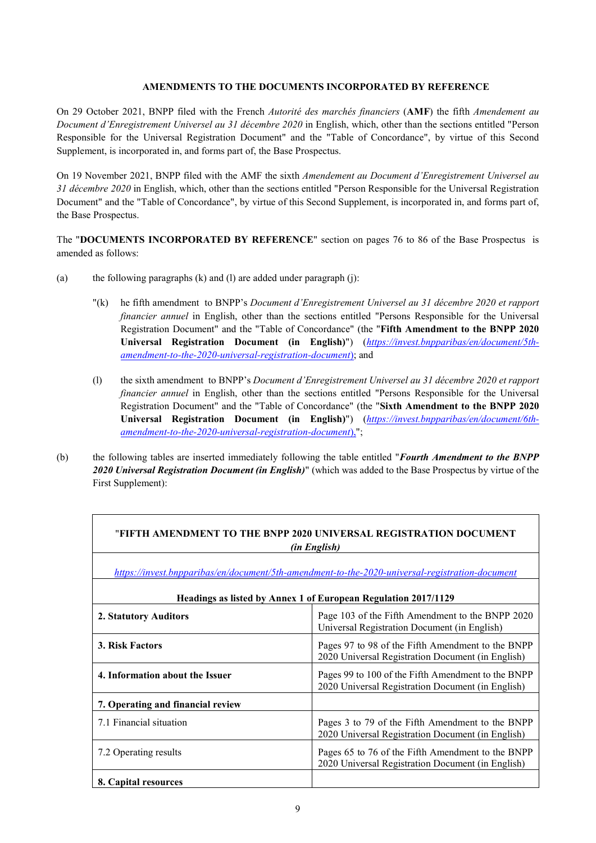### **AMENDMENTS TO THE DOCUMENTS INCORPORATED BY REFERENCE**

On 29 October 2021, BNPP filed with the French *Autorité des marchés financiers* (**AMF**) the fifth *Amendement au Document d'Enregistrement Universel au 31 décembre 2020* in English, which, other than the sections entitled "Person Responsible for the Universal Registration Document" and the "Table of Concordance", by virtue of this Second Supplement, is incorporated in, and forms part of, the Base Prospectus.

On 19 November 2021, BNPP filed with the AMF the sixth *Amendement au Document d'Enregistrement Universel au 31 décembre 2020* in English, which, other than the sections entitled "Person Responsible for the Universal Registration Document" and the "Table of Concordance", by virtue of this Second Supplement, is incorporated in, and forms part of, the Base Prospectus.

The "**DOCUMENTS INCORPORATED BY REFERENCE**" section on pages 76 to 86 of the Base Prospectus is amended as follows:

- (a) the following paragraphs (k) and (l) are added under paragraph (j):
	- "(k) he fifth amendment to BNPP's *Document d'Enregistrement Universel au 31 décembre 2020 et rapport financier annuel* in English, other than the sections entitled "Persons Responsible for the Universal Registration Document" and the "Table of Concordance" (the "**Fifth Amendment to the BNPP 2020 Universal Registration Document (in English)**") (*[https://invest.bnpparibas/en/document/5th](https://invest.bnpparibas/en/document/5th-amendment-to-the-2020-universal-registration-document))[amendment-to-the-2020-universal-registration-document](https://invest.bnpparibas/en/document/5th-amendment-to-the-2020-universal-registration-document))*); and
	- (l) the sixth amendment to BNPP's *Document d'Enregistrement Universel au 31 décembre 2020 et rapport financier annuel* in English, other than the sections entitled "Persons Responsible for the Universal Registration Document" and the "Table of Concordance" (the "**Sixth Amendment to the BNPP 2020 Universal Registration Document (in English)**") (*[https://invest.bnpparibas/en/document/6th](https://invest.bnpparibas/en/document/6th-amendment-to-the-2020-universal-registration-document))[amendment-to-the-2020-universal-registration-document](https://invest.bnpparibas/en/document/6th-amendment-to-the-2020-universal-registration-document))*),";

┑

(b) the following tables are inserted immediately following the table entitled "*Fourth Amendment to the BNPP 2020 Universal Registration Document (in English)*" (which was added to the Base Prospectus by virtue of the First Supplement):

| "FIFTH AMENDMENT TO THE BNPP 2020 UNIVERSAL REGISTRATION DOCUMENT<br><i>(in English)</i>        |                                                                                                         |  |  |  |
|-------------------------------------------------------------------------------------------------|---------------------------------------------------------------------------------------------------------|--|--|--|
| https://invest.bnpparibas/en/document/5th-amendment-to-the-2020-universal-registration-document |                                                                                                         |  |  |  |
| Headings as listed by Annex 1 of European Regulation 2017/1129                                  |                                                                                                         |  |  |  |
| 2. Statutory Auditors                                                                           | Page 103 of the Fifth Amendment to the BNPP 2020<br>Universal Registration Document (in English)        |  |  |  |
| 3. Risk Factors                                                                                 | Pages 97 to 98 of the Fifth Amendment to the BNPP<br>2020 Universal Registration Document (in English)  |  |  |  |
| 4. Information about the Issuer                                                                 | Pages 99 to 100 of the Fifth Amendment to the BNPP<br>2020 Universal Registration Document (in English) |  |  |  |
| 7. Operating and financial review                                                               |                                                                                                         |  |  |  |
| 7.1 Financial situation                                                                         | Pages 3 to 79 of the Fifth Amendment to the BNPP<br>2020 Universal Registration Document (in English)   |  |  |  |
| 7.2 Operating results                                                                           | Pages 65 to 76 of the Fifth Amendment to the BNPP<br>2020 Universal Registration Document (in English)  |  |  |  |
| 8. Capital resources                                                                            |                                                                                                         |  |  |  |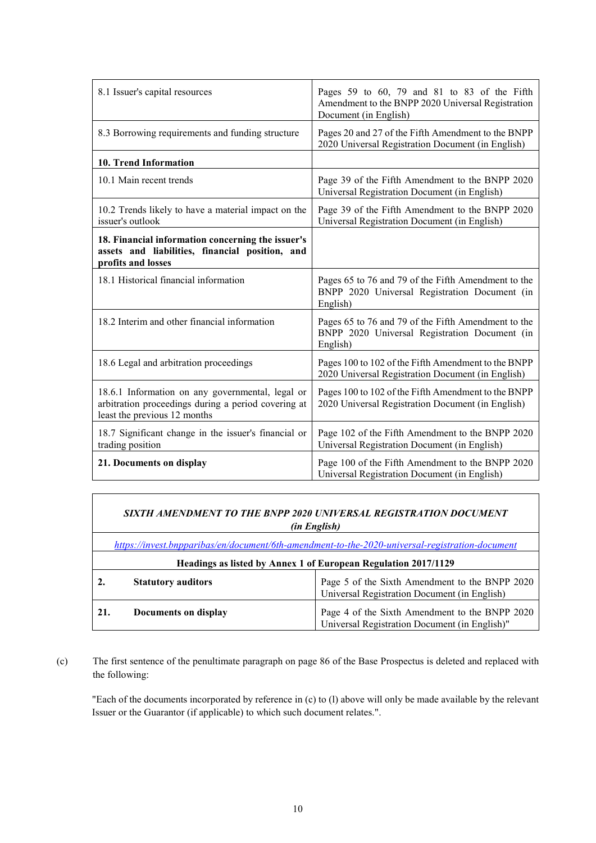| 8.1 Issuer's capital resources                                                                                                          | Pages 59 to 60, 79 and 81 to 83 of the Fifth<br>Amendment to the BNPP 2020 Universal Registration<br>Document (in English) |  |
|-----------------------------------------------------------------------------------------------------------------------------------------|----------------------------------------------------------------------------------------------------------------------------|--|
| 8.3 Borrowing requirements and funding structure                                                                                        | Pages 20 and 27 of the Fifth Amendment to the BNPP<br>2020 Universal Registration Document (in English)                    |  |
| 10. Trend Information                                                                                                                   |                                                                                                                            |  |
| 10.1 Main recent trends                                                                                                                 | Page 39 of the Fifth Amendment to the BNPP 2020<br>Universal Registration Document (in English)                            |  |
| 10.2 Trends likely to have a material impact on the<br>issuer's outlook                                                                 | Page 39 of the Fifth Amendment to the BNPP 2020<br>Universal Registration Document (in English)                            |  |
| 18. Financial information concerning the issuer's<br>assets and liabilities, financial position, and<br>profits and losses              |                                                                                                                            |  |
| 18.1 Historical financial information                                                                                                   | Pages 65 to 76 and 79 of the Fifth Amendment to the<br>BNPP 2020 Universal Registration Document (in<br>English)           |  |
| 18.2 Interim and other financial information                                                                                            | Pages 65 to 76 and 79 of the Fifth Amendment to the<br>BNPP 2020 Universal Registration Document (in<br>English)           |  |
| 18.6 Legal and arbitration proceedings                                                                                                  | Pages 100 to 102 of the Fifth Amendment to the BNPP<br>2020 Universal Registration Document (in English)                   |  |
| 18.6.1 Information on any governmental, legal or<br>arbitration proceedings during a period covering at<br>least the previous 12 months | Pages 100 to 102 of the Fifth Amendment to the BNPP<br>2020 Universal Registration Document (in English)                   |  |
| 18.7 Significant change in the issuer's financial or<br>trading position                                                                | Page 102 of the Fifth Amendment to the BNPP 2020<br>Universal Registration Document (in English)                           |  |
| 21. Documents on display                                                                                                                | Page 100 of the Fifth Amendment to the BNPP 2020<br>Universal Registration Document (in English)                           |  |

| SIXTH AMENDMENT TO THE BNPP 2020 UNIVERSAL REGISTRATION DOCUMENT<br><i>(in English)</i> |                                                                                                 |                                                                                                 |  |  |  |
|-----------------------------------------------------------------------------------------|-------------------------------------------------------------------------------------------------|-------------------------------------------------------------------------------------------------|--|--|--|
|                                                                                         | https://invest.bnpparibas/en/document/6th-amendment-to-the-2020-universal-registration-document |                                                                                                 |  |  |  |
| Headings as listed by Annex 1 of European Regulation 2017/1129                          |                                                                                                 |                                                                                                 |  |  |  |
|                                                                                         | <b>Statutory auditors</b>                                                                       | Page 5 of the Sixth Amendment to the BNPP 2020<br>Universal Registration Document (in English)  |  |  |  |
| 21.                                                                                     | Documents on display                                                                            | Page 4 of the Sixth Amendment to the BNPP 2020<br>Universal Registration Document (in English)" |  |  |  |

┑

(c) The first sentence of the penultimate paragraph on page 86 of the Base Prospectus is deleted and replaced with the following:

"Each of the documents incorporated by reference in (c) to (l) above will only be made available by the relevant Issuer or the Guarantor (if applicable) to which such document relates.".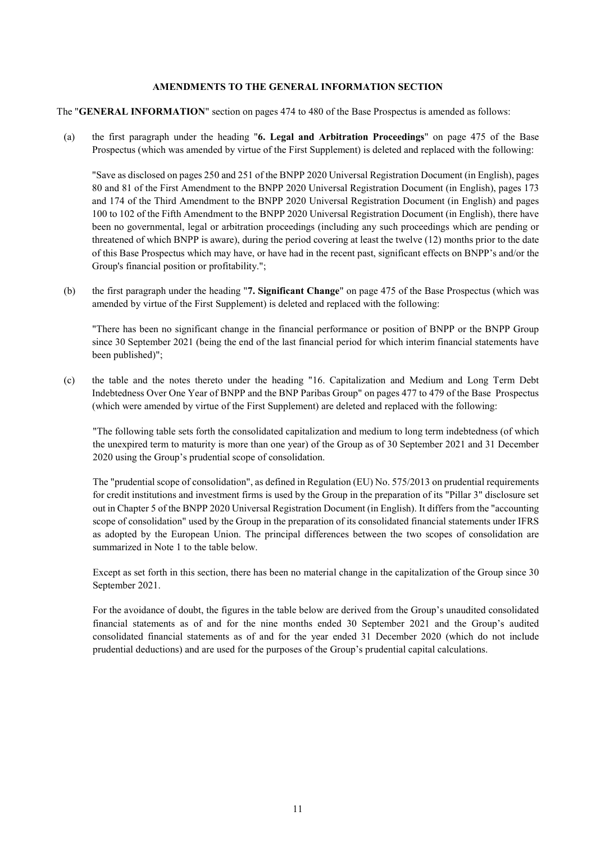#### **AMENDMENTS TO THE GENERAL INFORMATION SECTION**

The "**GENERAL INFORMATION**" section on pages 474 to 480 of the Base Prospectus is amended as follows:

(a) the first paragraph under the heading "**6. Legal and Arbitration Proceedings**" on page 475 of the Base Prospectus (which was amended by virtue of the First Supplement) is deleted and replaced with the following:

"Save as disclosed on pages 250 and 251 of the BNPP 2020 Universal Registration Document (in English), pages 80 and 81 of the First Amendment to the BNPP 2020 Universal Registration Document (in English), pages 173 and 174 of the Third Amendment to the BNPP 2020 Universal Registration Document (in English) and pages 100 to 102 of the Fifth Amendment to the BNPP 2020 Universal Registration Document (in English), there have been no governmental, legal or arbitration proceedings (including any such proceedings which are pending or threatened of which BNPP is aware), during the period covering at least the twelve (12) months prior to the date of this Base Prospectus which may have, or have had in the recent past, significant effects on BNPP's and/or the Group's financial position or profitability.";

(b) the first paragraph under the heading "**7. Significant Change**" on page 475 of the Base Prospectus (which was amended by virtue of the First Supplement) is deleted and replaced with the following:

"There has been no significant change in the financial performance or position of BNPP or the BNPP Group since 30 September 2021 (being the end of the last financial period for which interim financial statements have been published)";

(c) the table and the notes thereto under the heading "16. Capitalization and Medium and Long Term Debt Indebtedness Over One Year of BNPP and the BNP Paribas Group" on pages 477 to 479 of the Base Prospectus (which were amended by virtue of the First Supplement) are deleted and replaced with the following:

"The following table sets forth the consolidated capitalization and medium to long term indebtedness (of which the unexpired term to maturity is more than one year) of the Group as of 30 September 2021 and 31 December 2020 using the Group's prudential scope of consolidation.

The "prudential scope of consolidation", as defined in Regulation (EU) No. 575/2013 on prudential requirements for credit institutions and investment firms is used by the Group in the preparation of its "Pillar 3" disclosure set out in Chapter 5 of the BNPP 2020 Universal Registration Document (in English). It differs from the "accounting scope of consolidation" used by the Group in the preparation of its consolidated financial statements under IFRS as adopted by the European Union. The principal differences between the two scopes of consolidation are summarized in Note 1 to the table below.

Except as set forth in this section, there has been no material change in the capitalization of the Group since 30 September 2021.

For the avoidance of doubt, the figures in the table below are derived from the Group's unaudited consolidated financial statements as of and for the nine months ended 30 September 2021 and the Group's audited consolidated financial statements as of and for the year ended 31 December 2020 (which do not include prudential deductions) and are used for the purposes of the Group's prudential capital calculations.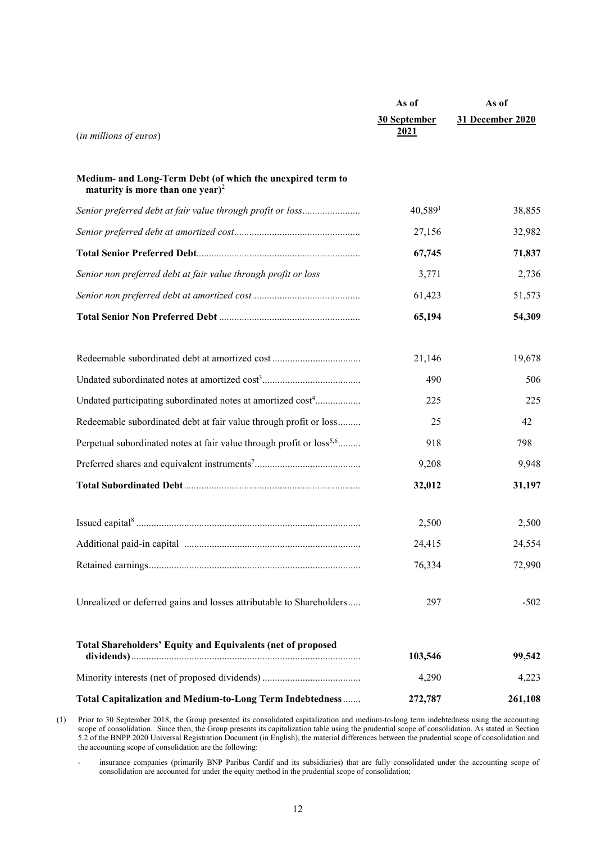|                                                                                                            | As of               | As of            |
|------------------------------------------------------------------------------------------------------------|---------------------|------------------|
|                                                                                                            | 30 September        | 31 December 2020 |
| (in millions of euros)                                                                                     | 2021                |                  |
|                                                                                                            |                     |                  |
| Medium- and Long-Term Debt (of which the unexpired term to<br>maturity is more than one year) <sup>2</sup> |                     |                  |
| Senior preferred debt at fair value through profit or loss                                                 | 40,589 <sup>1</sup> | 38,855           |
|                                                                                                            | 27,156              | 32,982           |
|                                                                                                            | 67,745              | 71,837           |
| Senior non preferred debt at fair value through profit or loss                                             | 3,771               | 2,736            |
|                                                                                                            | 61,423              | 51,573           |
|                                                                                                            | 65,194              | 54,309           |
|                                                                                                            |                     |                  |
| Redeemable subordinated debt at amortized cost                                                             | 21,146              | 19,678           |
|                                                                                                            | 490                 | 506              |
| Undated participating subordinated notes at amortized cost <sup>4</sup>                                    | 225                 | 225              |
| Redeemable subordinated debt at fair value through profit or loss                                          | 25                  | 42               |
| Perpetual subordinated notes at fair value through profit or loss <sup>5,6</sup>                           | 918                 | 798              |
|                                                                                                            | 9,208               | 9,948            |
|                                                                                                            | 32,012              | 31,197           |
|                                                                                                            |                     |                  |
|                                                                                                            | 2,500               | 2,500            |
|                                                                                                            | 24,415              | 24,554           |
|                                                                                                            | 76,334              | 72,990           |
| Unrealized or deferred gains and losses attributable to Shareholders                                       | 297                 | $-502$           |
|                                                                                                            |                     |                  |
| <b>Total Shareholders' Equity and Equivalents (net of proposed</b>                                         |                     |                  |
|                                                                                                            | 103,546             | 99,542           |
|                                                                                                            | 4,290               | 4,223            |
| Total Capitalization and Medium-to-Long Term Indebtedness                                                  | 272,787             | 261,108          |

(1) Prior to 30 September 2018, the Group presented its consolidated capitalization and medium-to-long term indebtedness using the accounting scope of consolidation. Since then, the Group presents its capitalization table using the prudential scope of consolidation. As stated in Section 5.2 of the BNPP 2020 Universal Registration Document (in English), the material differences between the prudential scope of consolidation and the accounting scope of consolidation are the following:

- insurance companies (primarily BNP Paribas Cardif and its subsidiaries) that are fully consolidated under the accounting scope of consolidation are accounted for under the equity method in the prudential scope of consolidation;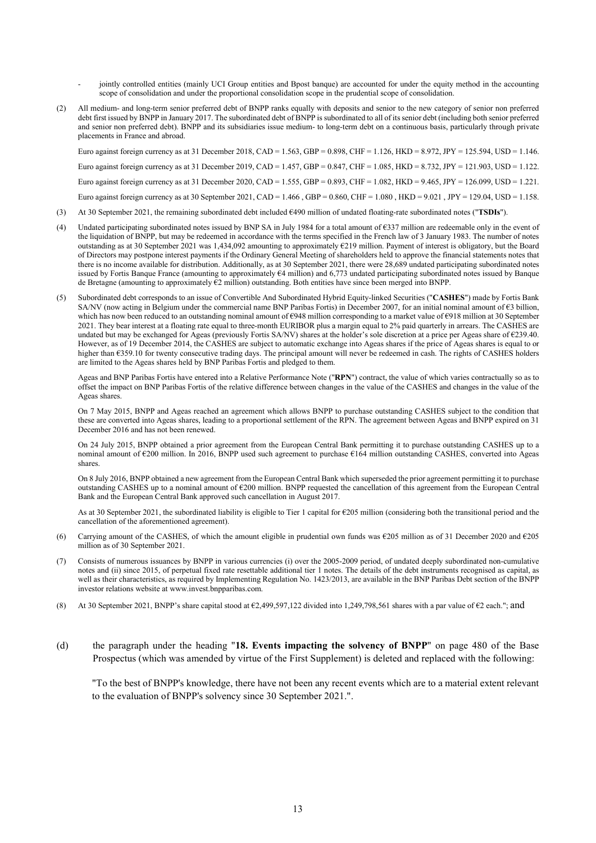- jointly controlled entities (mainly UCI Group entities and Bpost banque) are accounted for under the equity method in the accounting scope of consolidation and under the proportional consolidation scope in the prudential scope of consolidation.
- (2) All medium- and long-term senior preferred debt of BNPP ranks equally with deposits and senior to the new category of senior non preferred debt first issued by BNPP in January 2017. The subordinated debt of BNPP is subordinated to all of its senior debt (including both senior preferred and senior non preferred debt). BNPP and its subsidiaries issue medium- to long-term debt on a continuous basis, particularly through private placements in France and abroad.

Euro against foreign currency as at 31 December 2018, CAD = 1.563, GBP = 0.898, CHF = 1.126, HKD = 8.972, JPY = 125.594, USD = 1.146. Euro against foreign currency as at 31 December 2019, CAD = 1.457, GBP = 0.847, CHF = 1.085, HKD = 8.732, JPY = 121.903, USD = 1.122. Euro against foreign currency as at 31 December 2020, CAD = 1.555, GBP = 0.893, CHF = 1.082, HKD = 9.465, JPY = 126.099, USD = 1.221. Euro against foreign currency as at 30 September 2021, CAD = 1.466, GBP = 0.860, CHF = 1.080, HKD = 9.021, JPY = 129.04, USD = 1.158.

- (3) At 30 September 2021, the remaining subordinated debt included €490 million of undated floating-rate subordinated notes ("**TSDIs**").
- (4) Undated participating subordinated notes issued by BNP SA in July 1984 for a total amount of  $\epsilon$ 337 million are redeemable only in the event of the liquidation of BNPP, but may be redeemed in accordance with the terms specified in the French law of 3 January 1983. The number of notes outstanding as at 30 September 2021 was 1,434,092 amounting to approximately €219 million. Payment of interest is obligatory, but the Board of Directors may postpone interest payments if the Ordinary General Meeting of shareholders held to approve the financial statements notes that there is no income available for distribution. Additionally, as at 30 September 2021, there were 28,689 undated participating subordinated notes issued by Fortis Banque France (amounting to approximately €4 million) and 6,773 undated participating subordinated notes issued by Banque de Bretagne (amounting to approximately €2 million) outstanding. Both entities have since been merged into BNPP.
- (5) Subordinated debt corresponds to an issue of Convertible And Subordinated Hybrid Equity-linked Securities ("**CASHES**") made by Fortis Bank SA/NV (now acting in Belgium under the commercial name BNP Paribas Fortis) in December 2007, for an initial nominal amount of €3 billion, which has now been reduced to an outstanding nominal amount of €948 million corresponding to a market value of €918 million at 30 September 2021. They bear interest at a floating rate equal to three-month EURIBOR plus a margin equal to 2% paid quarterly in arrears. The CASHES are undated but may be exchanged for Ageas (previously Fortis SA/NV) shares at the holder's sole discretion at a price per Ageas share of  $\epsilon$ 239.40. However, as of 19 December 2014, the CASHES are subject to automatic exchange into Ageas shares if the price of Ageas shares is equal to or higher than €359.10 for twenty consecutive trading days. The principal amount will never be redeemed in cash. The rights of CASHES holders are limited to the Ageas shares held by BNP Paribas Fortis and pledged to them.

Ageas and BNP Paribas Fortis have entered into a Relative Performance Note ("**RPN**") contract, the value of which varies contractually so as to offset the impact on BNP Paribas Fortis of the relative difference between changes in the value of the CASHES and changes in the value of the Ageas shares.

On 7 May 2015, BNPP and Ageas reached an agreement which allows BNPP to purchase outstanding CASHES subject to the condition that these are converted into Ageas shares, leading to a proportional settlement of the RPN. The agreement between Ageas and BNPP expired on 31 December 2016 and has not been renewed.

On 24 July 2015, BNPP obtained a prior agreement from the European Central Bank permitting it to purchase outstanding CASHES up to a nominal amount of €200 million. In 2016, BNPP used such agreement to purchase €164 million outstanding CASHES, converted into Ageas shares.

On 8 July 2016, BNPP obtained a new agreement from the European Central Bank which superseded the prior agreement permitting it to purchase outstanding CASHES up to a nominal amount of €200 million. BNPP requested the cancellation of this agreement from the European Central Bank and the European Central Bank approved such cancellation in August 2017.

As at 30 September 2021, the subordinated liability is eligible to Tier 1 capital for €205 million (considering both the transitional period and the cancellation of the aforementioned agreement).

- (6) Carrying amount of the CASHES, of which the amount eligible in prudential own funds was  $\epsilon$ 205 million as of 31 December 2020 and  $\epsilon$ 205 million as of 30 September 2021.
- (7) Consists of numerous issuances by BNPP in various currencies (i) over the 2005-2009 period, of undated deeply subordinated non-cumulative notes and (ii) since 2015, of perpetual fixed rate resettable additional tier 1 notes. The details of the debt instruments recognised as capital, as well as their characteristics, as required by Implementing Regulation No. 1423/2013, are available in the BNP Paribas Debt section of the BNPP investor relations website at www.invest.bnpparibas.com.
- (8) At 30 September 2021, BNPP's share capital stood at €2,499,597,122 divided into 1,249,798,561 shares with a par value of €2 each."; and
- (d) the paragraph under the heading "**18. Events impacting the solvency of BNPP**" on page 480 of the Base Prospectus (which was amended by virtue of the First Supplement) is deleted and replaced with the following:

"To the best of BNPP's knowledge, there have not been any recent events which are to a material extent relevant to the evaluation of BNPP's solvency since 30 September 2021.".